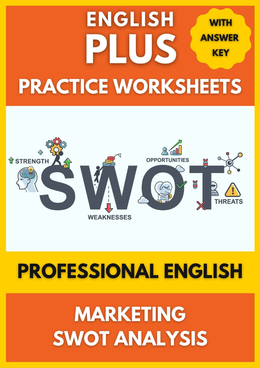## **ENGLISH WITH ANSWER** LUS **KEY PRACTICE WORKSHEETS**



## **PROFESSIONAL ENGLISH**

# **MARKETING** SWOT ANALYSIS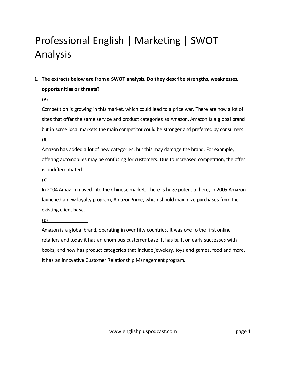## Professional English | Marketing | SWOT Analysis

### 1. **The extracts below are from a SWOT analysis. Do they describe strengths, weaknesses, opportunities or threats?**

**(A) Threats**

Competition is growing in this market, which could lead to a price war. There are now a lot of sites that offer the same service and product categories as Amazon. Amazon is a global brand but in some local markets the main competitor could be stronger and preferred by consumers.

**(B) Weaknesses**

Amazon has added a lot of new categories, but this may damage the brand. For example, offering automobiles may be confusing for customers. Due to increased competition, the offer is undifferentiated.

**(C) Opportunities**

In 2004 Amazon moved into the Chinese market. There is huge potential here, In 2005 Amazon launched a new loyalty program, AmazonPrime, which should maximize purchases from the existing client base.

**(D) Strengths**

Amazon is a global brand, operating in over fifty countries. It was one fo the first online retailers and today it has an enormous customer base. It has built on early successes with books, and now has product categories that include jewelery, toys and games, food and more. It has an innovative Customer Relationship Management program.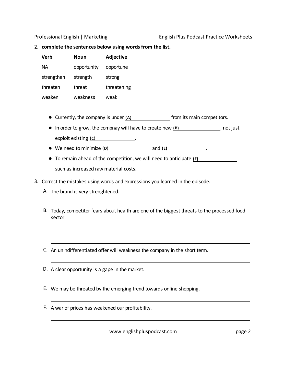#### 2. **complete the sentences below using words from the list.**

| Verb       | Noun        | Adjective   |  |
|------------|-------------|-------------|--|
| NА         | opportunity | opportune   |  |
| strengthen | strength    | strong      |  |
| threaten   | threat      | threatening |  |
| weaken     | weakness    | weak        |  |

- Currently, the company is under  $(A)$  **the** from its main competitors.
- In order to grow, the compnay will have to create new (B)  $\qquad \qquad$ , not just exploit existing **(C) stratge in the strength of the strengths** .
- We need to minimize (D) and (E) **we are all the session of the session of the session of the session of the session of the session of the session of the session of the session of the session of the session of the session**
- To remain ahead of the competition, we will need to anticipate (F) such as increased raw material costs.
- 3. Correct the mistakes using words and expressions you learned in the episode.
	- A. The brand is very strenghtened.
	- B. Today, competitor fears about health are one of the biggest threats to the processed food sector.
	- C. An unindifferentiated offer will weakness the company in the short term.
	- D. A clear opportunity is a gape in the market.
	- E. We may be threated by the emerging trend towards online shopping.
	- F. A war of prices has weakened our profitability.